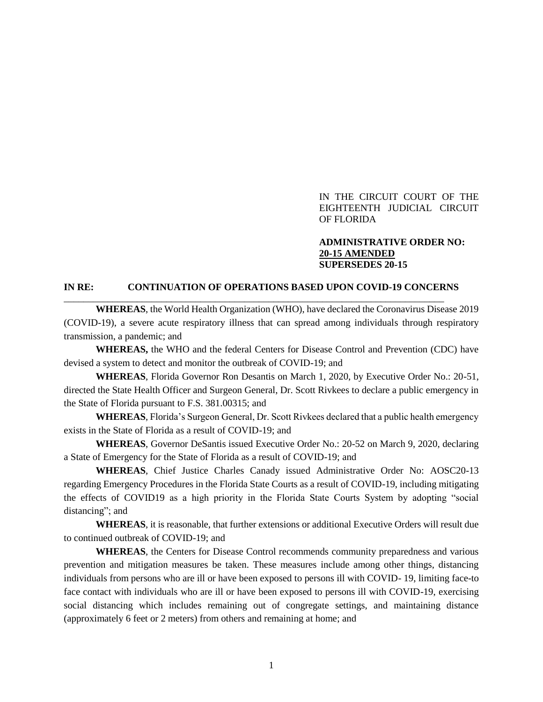#### IN THE CIRCUIT COURT OF THE EIGHTEENTH JUDICIAL CIRCUIT OF FLORIDA

#### **ADMINISTRATIVE ORDER NO: 20-15 AMENDED SUPERSEDES 20-15**

#### **IN RE: CONTINUATION OF OPERATIONS BASED UPON COVID-19 CONCERNS**

\_\_\_\_\_\_\_\_\_\_\_\_\_\_\_\_\_\_\_\_\_\_\_\_\_\_\_\_\_\_\_\_\_\_\_\_\_\_\_\_\_\_\_\_\_\_\_\_\_\_\_\_\_\_\_\_\_\_\_\_\_\_\_\_\_\_\_\_\_\_\_\_\_\_\_\_\_\_

**WHEREAS**, the World Health Organization (WHO), have declared the Coronavirus Disease 2019 (COVID-19), a severe acute respiratory illness that can spread among individuals through respiratory transmission, a pandemic; and

**WHEREAS,** the WHO and the federal Centers for Disease Control and Prevention (CDC) have devised a system to detect and monitor the outbreak of COVID-19; and

**WHEREAS**, Florida Governor Ron Desantis on March 1, 2020, by Executive Order No.: 20-51, directed the State Health Officer and Surgeon General, Dr. Scott Rivkees to declare a public emergency in the State of Florida pursuant to F.S. 381.00315; and

**WHEREAS**, Florida's Surgeon General, Dr. Scott Rivkees declared that a public health emergency exists in the State of Florida as a result of COVID-19; and

**WHEREAS**, Governor DeSantis issued Executive Order No.: 20-52 on March 9, 2020, declaring a State of Emergency for the State of Florida as a result of COVID-19; and

**WHEREAS**, Chief Justice Charles Canady issued Administrative Order No: AOSC20-13 regarding Emergency Procedures in the Florida State Courts as a result of COVID-19, including mitigating the effects of COVID19 as a high priority in the Florida State Courts System by adopting "social distancing"; and

**WHEREAS**, it is reasonable, that further extensions or additional Executive Orders will result due to continued outbreak of COVID-19; and

**WHEREAS**, the Centers for Disease Control recommends community preparedness and various prevention and mitigation measures be taken. These measures include among other things, distancing individuals from persons who are ill or have been exposed to persons ill with COVID- 19, limiting face-to face contact with individuals who are ill or have been exposed to persons ill with COVID-19, exercising social distancing which includes remaining out of congregate settings, and maintaining distance (approximately 6 feet or 2 meters) from others and remaining at home; and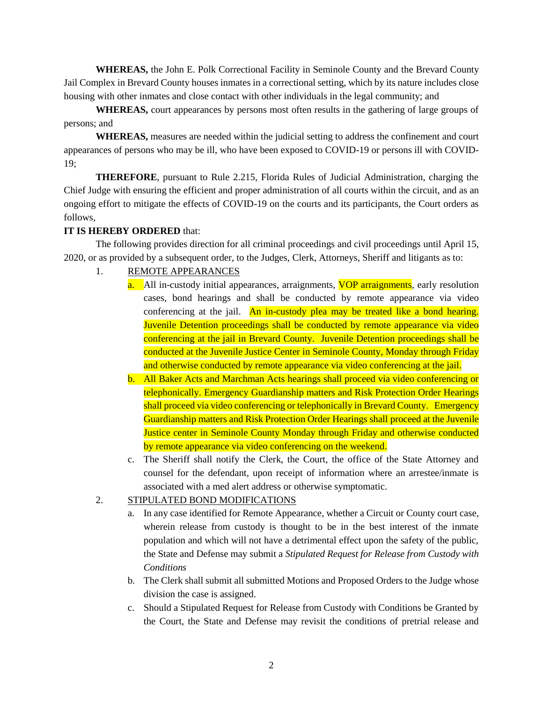**WHEREAS,** the John E. Polk Correctional Facility in Seminole County and the Brevard County Jail Complex in Brevard County houses inmates in a correctional setting, which by its nature includes close housing with other inmates and close contact with other individuals in the legal community; and

**WHEREAS,** court appearances by persons most often results in the gathering of large groups of persons; and

**WHEREAS,** measures are needed within the judicial setting to address the confinement and court appearances of persons who may be ill, who have been exposed to COVID-19 or persons ill with COVID-19;

**THEREFORE**, pursuant to Rule 2.215, Florida Rules of Judicial Administration, charging the Chief Judge with ensuring the efficient and proper administration of all courts within the circuit, and as an ongoing effort to mitigate the effects of COVID-19 on the courts and its participants, the Court orders as follows,

## **IT IS HEREBY ORDERED** that:

The following provides direction for all criminal proceedings and civil proceedings until April 15, 2020, or as provided by a subsequent order, to the Judges, Clerk, Attorneys, Sheriff and litigants as to:

## 1. REMOTE APPEARANCES

- a. All in-custody initial appearances, arraignments, VOP arraignments, early resolution cases, bond hearings and shall be conducted by remote appearance via video conferencing at the jail. An in-custody plea may be treated like a bond hearing. Juvenile Detention proceedings shall be conducted by remote appearance via video conferencing at the jail in Brevard County. Juvenile Detention proceedings shall be conducted at the Juvenile Justice Center in Seminole County, Monday through Friday and otherwise conducted by remote appearance via video conferencing at the jail.
- b. All Baker Acts and Marchman Acts hearings shall proceed via video conferencing or telephonically. Emergency Guardianship matters and Risk Protection Order Hearings shall proceed via video conferencing or telephonically in Brevard County. Emergency Guardianship matters and Risk Protection Order Hearings shall proceed at the Juvenile Justice center in Seminole County Monday through Friday and otherwise conducted by remote appearance via video conferencing on the weekend.
- c. The Sheriff shall notify the Clerk, the Court, the office of the State Attorney and counsel for the defendant, upon receipt of information where an arrestee/inmate is associated with a med alert address or otherwise symptomatic.

## 2. STIPULATED BOND MODIFICATIONS

- a. In any case identified for Remote Appearance, whether a Circuit or County court case, wherein release from custody is thought to be in the best interest of the inmate population and which will not have a detrimental effect upon the safety of the public, the State and Defense may submit a *Stipulated Request for Release from Custody with Conditions*
- b. The Clerk shall submit all submitted Motions and Proposed Orders to the Judge whose division the case is assigned.
- c. Should a Stipulated Request for Release from Custody with Conditions be Granted by the Court, the State and Defense may revisit the conditions of pretrial release and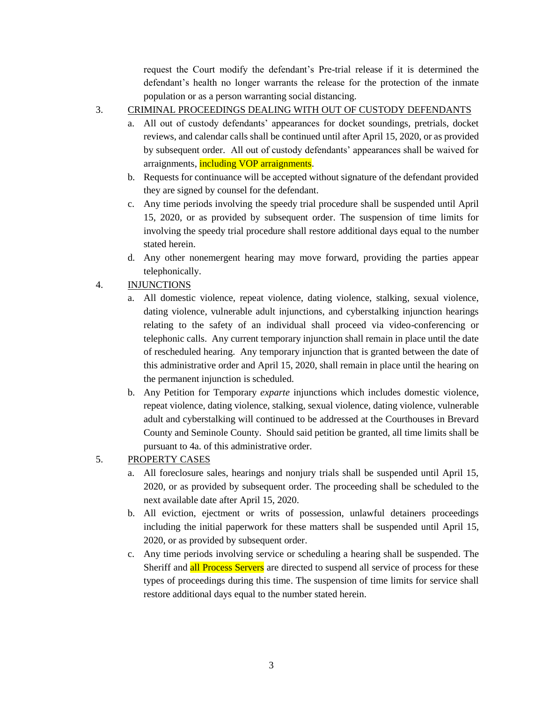request the Court modify the defendant's Pre-trial release if it is determined the defendant's health no longer warrants the release for the protection of the inmate population or as a person warranting social distancing.

- 3. CRIMINAL PROCEEDINGS DEALING WITH OUT OF CUSTODY DEFENDANTS
	- a. All out of custody defendants' appearances for docket soundings, pretrials, docket reviews, and calendar calls shall be continued until after April 15, 2020, or as provided by subsequent order. All out of custody defendants' appearances shall be waived for arraignments, including VOP arraignments.
	- b. Requests for continuance will be accepted without signature of the defendant provided they are signed by counsel for the defendant.
	- c. Any time periods involving the speedy trial procedure shall be suspended until April 15, 2020, or as provided by subsequent order. The suspension of time limits for involving the speedy trial procedure shall restore additional days equal to the number stated herein.
	- d. Any other nonemergent hearing may move forward, providing the parties appear telephonically.

# 4. INJUNCTIONS

- a. All domestic violence, repeat violence, dating violence, stalking, sexual violence, dating violence, vulnerable adult injunctions, and cyberstalking injunction hearings relating to the safety of an individual shall proceed via video-conferencing or telephonic calls. Any current temporary injunction shall remain in place until the date of rescheduled hearing. Any temporary injunction that is granted between the date of this administrative order and April 15, 2020, shall remain in place until the hearing on the permanent injunction is scheduled.
- b. Any Petition for Temporary *exparte* injunctions which includes domestic violence, repeat violence, dating violence, stalking, sexual violence, dating violence, vulnerable adult and cyberstalking will continued to be addressed at the Courthouses in Brevard County and Seminole County. Should said petition be granted, all time limits shall be pursuant to 4a. of this administrative order.

## 5. PROPERTY CASES

- a. All foreclosure sales, hearings and nonjury trials shall be suspended until April 15, 2020, or as provided by subsequent order. The proceeding shall be scheduled to the next available date after April 15, 2020.
- b. All eviction, ejectment or writs of possession, unlawful detainers proceedings including the initial paperwork for these matters shall be suspended until April 15, 2020, or as provided by subsequent order.
- c. Any time periods involving service or scheduling a hearing shall be suspended. The Sheriff and all Process Servers are directed to suspend all service of process for these types of proceedings during this time. The suspension of time limits for service shall restore additional days equal to the number stated herein.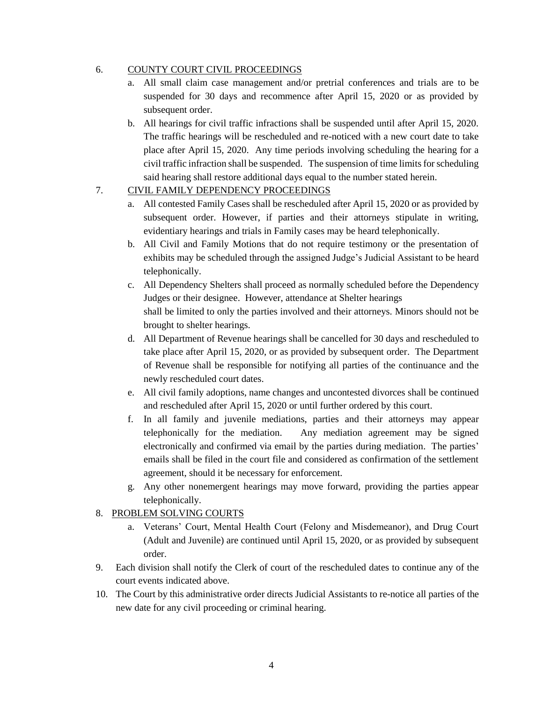#### 6. COUNTY COURT CIVIL PROCEEDINGS

- a. All small claim case management and/or pretrial conferences and trials are to be suspended for 30 days and recommence after April 15, 2020 or as provided by subsequent order.
- b. All hearings for civil traffic infractions shall be suspended until after April 15, 2020. The traffic hearings will be rescheduled and re-noticed with a new court date to take place after April 15, 2020. Any time periods involving scheduling the hearing for a civil traffic infraction shall be suspended. The suspension of time limits for scheduling said hearing shall restore additional days equal to the number stated herein.

### 7. CIVIL FAMILY DEPENDENCY PROCEEDINGS

- a. All contested Family Cases shall be rescheduled after April 15, 2020 or as provided by subsequent order. However, if parties and their attorneys stipulate in writing, evidentiary hearings and trials in Family cases may be heard telephonically.
- b. All Civil and Family Motions that do not require testimony or the presentation of exhibits may be scheduled through the assigned Judge's Judicial Assistant to be heard telephonically.
- c. All Dependency Shelters shall proceed as normally scheduled before the Dependency Judges or their designee. However, attendance at Shelter hearings shall be limited to only the parties involved and their attorneys. Minors should not be brought to shelter hearings.
- d. All Department of Revenue hearings shall be cancelled for 30 days and rescheduled to take place after April 15, 2020, or as provided by subsequent order. The Department of Revenue shall be responsible for notifying all parties of the continuance and the newly rescheduled court dates.
- e. All civil family adoptions, name changes and uncontested divorces shall be continued and rescheduled after April 15, 2020 or until further ordered by this court.
- f. In all family and juvenile mediations, parties and their attorneys may appear telephonically for the mediation. Any mediation agreement may be signed electronically and confirmed via email by the parties during mediation. The parties' emails shall be filed in the court file and considered as confirmation of the settlement agreement, should it be necessary for enforcement.
- g. Any other nonemergent hearings may move forward, providing the parties appear telephonically.

### 8. PROBLEM SOLVING COURTS

- a. Veterans' Court, Mental Health Court (Felony and Misdemeanor), and Drug Court (Adult and Juvenile) are continued until April 15, 2020, or as provided by subsequent order.
- 9. Each division shall notify the Clerk of court of the rescheduled dates to continue any of the court events indicated above.
- 10. The Court by this administrative order directs Judicial Assistants to re-notice all parties of the new date for any civil proceeding or criminal hearing.